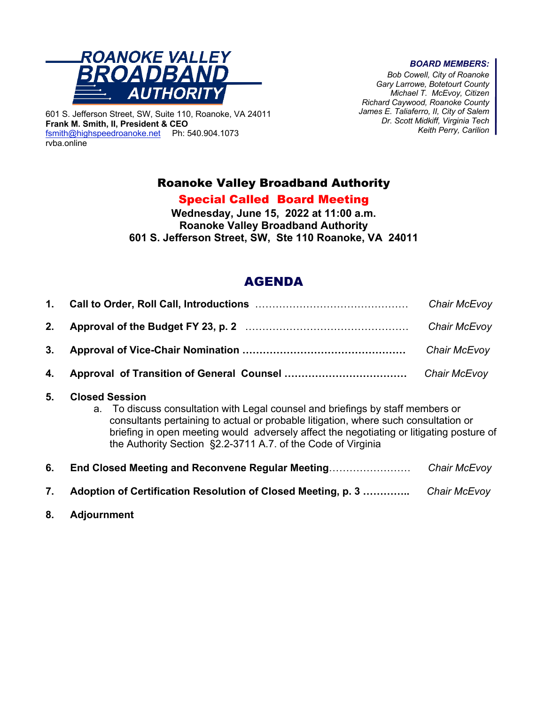

601 S. Jefferson Street, SW, Suite 110, Roanoke, VA 24011 **Frank M. Smith, II, President & CEO** fsmith@highspeedroanoke.net Ph: 540.904.1073 rvba.online

#### *BOARD MEMBERS:*

*Bob Cowell, City of Roanoke Gary Larrowe, Botetourt County Michael T. McEvoy, Citizen Richard Caywood, Roanoke County James E. Taliaferro, II, City of Salem Dr. Scott Midkiff, Virginia Tech Keith Perry, Carilion*

## Roanoke Valley Broadband Authority

### Special Called Board Meeting

**Wednesday, June 15, 2022 at 11:00 a.m. Roanoke Valley Broadband Authority 601 S. Jefferson Street, SW, Ste 110 Roanoke, VA 24011**

# AGENDA

|  | Chair McEvoy |
|--|--------------|
|  |              |
|  | Chair McEvoy |
|  |              |

#### **5. Closed Session**

a. To discuss consultation with Legal counsel and briefings by staff members or consultants pertaining to actual or probable litigation, where such consultation or briefing in open meeting would adversely affect the negotiating or litigating posture of the Authority Section §2.2-3711 A.7. of the Code of Virginia

| 6. | End Closed Meeting and Reconvene Regular Meeting                                  | Chair McEvoy |
|----|-----------------------------------------------------------------------------------|--------------|
| 7. | <b>Adoption of Certification Resolution of Closed Meeting, p. 3 </b> Chair McEvoy |              |

**8. Adjournment**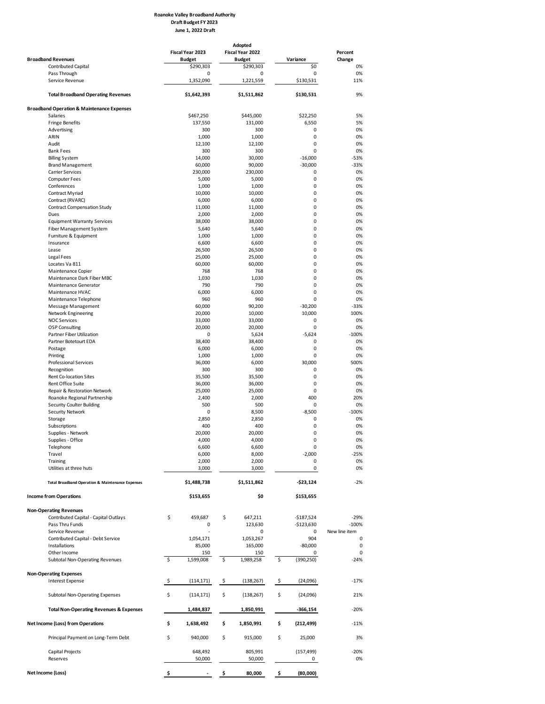#### **Roanoke Valley Broadband Authority Draft Budget FY 2023 June 1, 2022 Draft**

|                                                             |     |                   | Adopted |                   |                  |               |
|-------------------------------------------------------------|-----|-------------------|---------|-------------------|------------------|---------------|
|                                                             |     | Fiscal Year 2023  |         | Fiscal Year 2022  |                  | Percent       |
| <b>Broadband Revenues</b>                                   |     | <b>Budget</b>     |         | <b>Budget</b>     | Variance         | Change        |
| <b>Contributed Capital</b>                                  |     | \$290,303         |         | \$290,303         | \$0              | 0%            |
| Pass Through                                                |     | 0                 |         | 0                 | 0                | 0%            |
| Service Revenue                                             |     | 1,352,090         |         | 1,221,559         | \$130,531        | 11%           |
| <b>Total Broadband Operating Revenues</b>                   |     | \$1,642,393       |         | \$1,511,862       | \$130,531        | 9%            |
| <b>Broadband Operation &amp; Maintenance Expenses</b>       |     |                   |         |                   |                  |               |
| Salaries                                                    |     | \$467,250         |         | \$445,000         | \$22,250         | 5%            |
| <b>Fringe Benefits</b>                                      |     | 137,550           |         | 131,000           | 6,550            | 5%            |
| Advertising                                                 |     | 300               |         | 300               | 0                | 0%            |
| ARIN                                                        |     | 1,000             |         | 1,000             | 0                | 0%            |
| Audit                                                       |     | 12,100            |         | 12,100            | 0                | 0%            |
| <b>Bank Fees</b>                                            |     | 300               |         | 300               | 0                | 0%            |
| <b>Billing System</b>                                       |     | 14,000            |         | 30,000            | $-16,000$        | $-53%$        |
|                                                             |     |                   |         |                   |                  |               |
| <b>Brand Management</b>                                     |     | 60,000            |         | 90,000            | $-30,000$        | $-33%$        |
| Carrier Services                                            |     | 230,000           |         | 230,000           | 0                | 0%            |
| <b>Computer Fees</b>                                        |     | 5,000             |         | 5,000             | 0                | 0%            |
| Conferences                                                 |     | 1,000             |         | 1,000             | 0                | 0%            |
| Contract Myriad                                             |     | 10,000            |         | 10,000            | 0                | 0%            |
| Contract (RVARC)                                            |     | 6,000             |         | 6,000             | 0                | 0%            |
| <b>Contract Compensation Study</b>                          |     | 11,000            |         | 11,000            | 0                | 0%            |
| Dues                                                        |     | 2,000             |         | 2,000             | 0                | 0%            |
| <b>Equipment Warranty Services</b>                          |     | 38,000            |         | 38,000            | 0                | 0%            |
|                                                             |     | 5,640             |         |                   | 0                | 0%            |
| Fiber Management System                                     |     |                   |         | 5,640             |                  |               |
| Furniture & Equipment                                       |     | 1,000             |         | 1,000             | 0                | 0%            |
| Insurance                                                   |     | 6,600             |         | 6,600             | 0                | 0%            |
| Lease                                                       |     | 26,500            |         | 26,500            | 0                | 0%            |
| Legal Fees                                                  |     | 25,000            |         | 25,000            | 0                | 0%            |
| Locates Va 811                                              |     | 60,000            |         | 60,000            | 0                | 0%            |
| Maintenance Copier                                          |     | 768               |         | 768               | 0                | 0%            |
| Maintenance Dark Fiber MBC                                  |     | 1,030             |         | 1,030             | 0                | 0%            |
|                                                             |     |                   |         |                   | 0                |               |
| Maintenance Generator                                       |     | 790               |         | 790               |                  | 0%            |
| Maintenance HVAC                                            |     | 6,000             |         | 6,000             | 0                | 0%            |
| Maintenance Telephone                                       |     | 960               |         | 960               | 0                | 0%            |
| <b>Message Management</b>                                   |     | 60,000            |         | 90,200            | $-30,200$        | $-33%$        |
| Network Engineering                                         |     | 20,000            |         | 10,000            | 10,000           | 100%          |
| <b>NOC Services</b>                                         |     | 33,000            |         | 33,000            | 0                | 0%            |
| <b>OSP Consulting</b>                                       |     | 20,000            |         | 20,000            | 0                | 0%            |
| Partner Fiber Utilization                                   |     | 0                 |         | 5,624             | $-5,624$         | $-100%$       |
| Partner Botetourt EDA                                       |     | 38,400            |         | 38,400            | 0                | 0%            |
|                                                             |     |                   |         |                   | 0                | 0%            |
| Postage                                                     |     | 6,000             |         | 6,000             |                  |               |
| Printing                                                    |     | 1,000             |         | 1,000             | 0                | 0%            |
| Professional Services                                       |     | 36,000            |         | 6,000             | 30,000           | 500%          |
| Recognition                                                 |     | 300               |         | 300               | 0                | 0%            |
| Rent Co-location Sites                                      |     | 35,500            |         | 35,500            | 0                | 0%            |
| <b>Rent Office Suite</b>                                    |     | 36,000            |         | 36,000            | 0                | 0%            |
| Repair & Restoration Network                                |     | 25,000            |         | 25,000            | 0                | 0%            |
| Roanoke Regional Partnership                                |     | 2,400             |         | 2,000             | 400              | 20%           |
|                                                             |     |                   |         |                   |                  |               |
| <b>Security Coulter Building</b>                            |     | 500               |         | 500               | 0                | 0%            |
| Security Network                                            |     | 0                 |         | 8,500             | $-8,500$         | $-100%$       |
| Storage                                                     |     | 2,850             |         | 2,850             | 0                | 0%            |
| Subscriptions                                               |     | 400               |         | 400               | 0                | 0%            |
| Supplies - Network                                          |     | 20,000            |         | 20,000            | 0                | 0%            |
| Supplies - Office                                           |     | 4,000             |         | 4,000             | $\Omega$         | 0%            |
| Telephone                                                   |     | 6,600             |         | 6,600             | 0                | 0%            |
|                                                             |     |                   |         |                   |                  |               |
| Travel                                                      |     | 6,000             |         | 8,000             | $-2,000$         | $-25%$        |
| Training                                                    |     | 2,000             |         | 2,000             | 0                | 0%            |
| Utilities at three huts                                     |     | 3,000             |         | 3,000             | 0                | 0%            |
| <b>Total Broadband Operation &amp; Maintenance Expenses</b> |     | \$1,488,738       |         | \$1,511,862       | -\$23,124        | $-2%$         |
| <b>Income from Operations</b>                               |     | \$153,655         |         | \$0               | \$153,655        |               |
|                                                             |     |                   |         |                   |                  |               |
| <b>Non-Operating Revenues</b>                               |     |                   |         |                   |                  |               |
| Contributed Capital - Capital Outlays                       | \$  | 459,687           | \$      | 647,211           | -\$187,524       | $-29%$        |
| Pass Thru Funds                                             |     | 0                 |         | 123,630           | $-$123,630$      | $-100%$       |
| Service Revenue                                             |     |                   |         | 0                 | 0                | New line item |
| Contributed Capital - Debt Service                          |     | 1,054,171         |         | 1,053,267         | 904              | 0             |
| Installations                                               |     | 85,000            |         | 165,000           | $-80,000$        | 0             |
| Other Income                                                |     | 150               |         | 150               | 0                | 0             |
|                                                             | \$  | 1,599,008         | \$      |                   | \$               | $-24%$        |
| Subtotal Non-Operating Revenues                             |     |                   |         | 1,989,258         | (390, 250)       |               |
| <b>Non-Operating Expenses</b>                               |     |                   |         |                   |                  |               |
| <b>Interest Expense</b>                                     | \$  | (114, 171)        | \$      | (138, 267)        | \$<br>(24,096)   | $-17%$        |
|                                                             |     |                   |         |                   |                  |               |
| <b>Subtotal Non-Operating Expenses</b>                      | \$  | (114, 171)        | \$      | (138, 267)        | \$<br>(24,096)   | 21%           |
| <b>Total Non-Operating Revenues &amp; Expenses</b>          |     | 1,484,837         |         | 1,850,991         | -366,154         | $-20%$        |
| Net Income (Loss) from Operations                           | \$  | 1,638,492         | \$      | 1,850,991         | \$<br>(212, 499) | $-11%$        |
| Principal Payment on Long-Term Debt                         | \$  | 940,000           | \$      | 915,000           | \$<br>25,000     | 3%            |
| Capital Projects<br>Reserves                                |     | 648,492<br>50,000 |         | 805,991<br>50,000 | (157, 499)<br>0  | $-20%$<br>0%  |
| Net Income (Loss)                                           | \$. |                   | \$      | 80,000            | \$<br>(80,000)   |               |
|                                                             |     |                   |         |                   |                  |               |